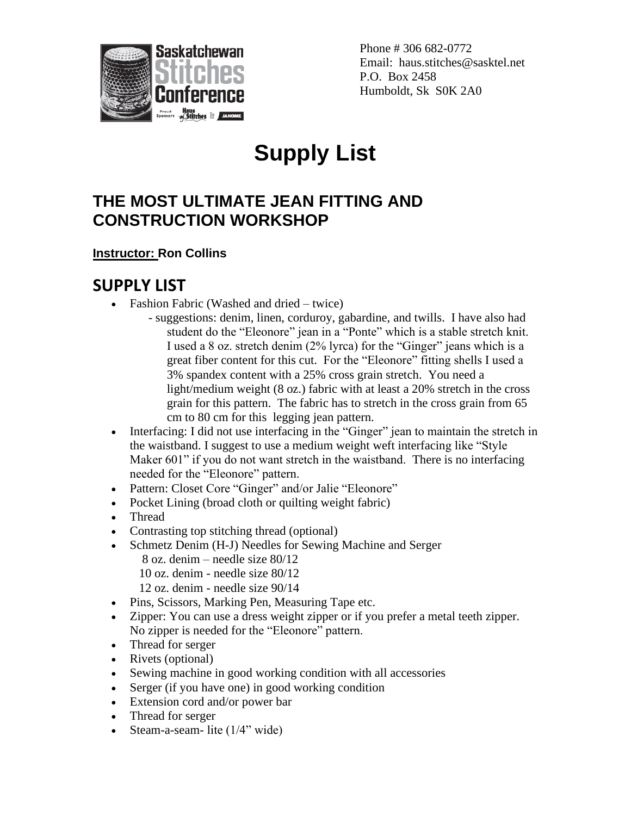

Phone # 306 682-0772 Email: haus.stitches@sasktel.net P.O. Box 2458 Humboldt, Sk S0K 2A0

## **Supply List**

## **THE MOST ULTIMATE JEAN FITTING AND CONSTRUCTION WORKSHOP**

## **Instructor: Ron Collins**

## **SUPPLY LIST**

- Fashion Fabric (Washed and dried twice)
	- suggestions: denim, linen, corduroy, gabardine, and twills. I have also had student do the "Eleonore" jean in a "Ponte" which is a stable stretch knit. I used a 8 oz. stretch denim (2% lyrca) for the "Ginger" jeans which is a great fiber content for this cut. For the "Eleonore" fitting shells I used a 3% spandex content with a 25% cross grain stretch. You need a light/medium weight (8 oz.) fabric with at least a 20% stretch in the cross grain for this pattern. The fabric has to stretch in the cross grain from 65 cm to 80 cm for this legging jean pattern.
- Interfacing: I did not use interfacing in the "Ginger" jean to maintain the stretch in the waistband. I suggest to use a medium weight weft interfacing like "Style Maker 601" if you do not want stretch in the waistband. There is no interfacing needed for the "Eleonore" pattern.
- Pattern: Closet Core "Ginger" and/or Jalie "Eleonore"
- Pocket Lining (broad cloth or quilting weight fabric)
- Thread
- Contrasting top stitching thread (optional)
- Schmetz Denim (H-J) Needles for Sewing Machine and Serger
	- 8 oz. denim needle size 80/12
	- 10 oz. denim needle size 80/12
	- 12 oz. denim needle size 90/14
- Pins, Scissors, Marking Pen, Measuring Tape etc.
- Zipper: You can use a dress weight zipper or if you prefer a metal teeth zipper. No zipper is needed for the "Eleonore" pattern.
- Thread for serger
- Rivets (optional)
- Sewing machine in good working condition with all accessories
- Serger (if you have one) in good working condition
- Extension cord and/or power bar
- Thread for serger
- Steam-a-seam- lite (1/4" wide)